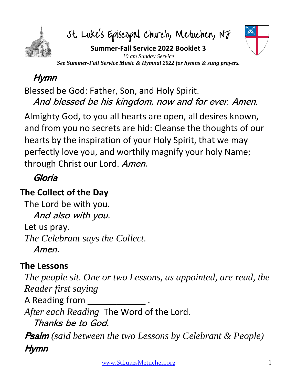

St. Luke's Episcopal Church, Metuchen, NJ



**Summer-Fall Service 2022 Booklet 3** *10 am Sunday Service See Summer-Fall Service Music & Hymnal 2022 for hymns & sung prayers.*

# Hymn

Blessed be God: Father, Son, and Holy Spirit. And blessed be his kingdom, now and for ever. Amen.

Almighty God, to you all hearts are open, all desires known, and from you no secrets are hid: Cleanse the thoughts of our hearts by the inspiration of your Holy Spirit, that we may perfectly love you, and worthily magnify your holy Name; through Christ our Lord. Amen.

## Gloria

### **The Collect of the Day**

The Lord be with you. And also with you. Let us pray. *The Celebrant says the Collect.* Amen.

### **The Lessons**

*The people sit. One or two Lessons, as appointed, are read, the Reader first saying* A Reading from \_\_\_\_ *After each Reading* The Word of the Lord. Thanks be to God. Psalm *(said between the two Lessons by Celebrant & People)* Hymn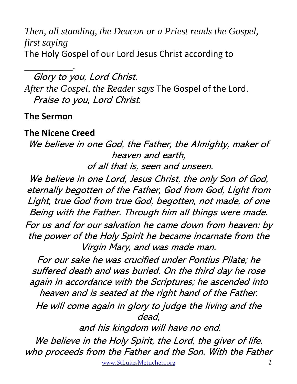*Then, all standing, the Deacon or a Priest reads the Gospel, first saying* The Holy Gospel of our Lord Jesus Christ according to

\_\_\_\_\_\_\_\_\_\_. Glory to you, Lord Christ. *After the Gospel, the Reader says* The Gospel of the Lord. Praise to you, Lord Christ.

#### **The Sermon**

#### **The Nicene Creed**

We believe in one God, the Father, the Almighty, maker of heaven and earth, of all that is, seen and unseen.

We believe in one Lord, Jesus Christ, the only Son of God, eternally begotten of the Father, God from God, Light from Light, true God from true God, begotten, not made, of one Being with the Father. Through him all things were made. For us and for our salvation he came down from heaven: by the power of the Holy Spirit he became incarnate from the Virgin Mary, and was made man.

For our sake he was crucified under Pontius Pilate; he suffered death and was buried. On the third day he rose again in accordance with the Scriptures; he ascended into heaven and is seated at the right hand of the Father.

He will come again in glory to judge the living and the dead,

and his kingdom will have no end.

We believe in the Holy Spirit, the Lord, the giver of life, who proceeds from the Father and the Son. With the Father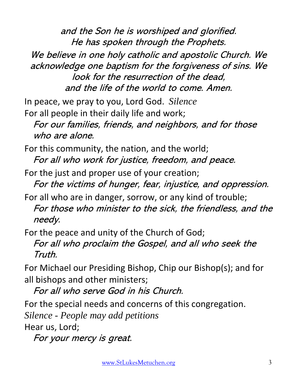and the Son he is worshiped and glorified. He has spoken through the Prophets.

We believe in one holy catholic and apostolic Church. We acknowledge one baptism for the forgiveness of sins. We look for the resurrection of the dead, and the life of the world to come. Amen.

In peace, we pray to you, Lord God. *Silence* For all people in their daily life and work;

For our families, friends, and neighbors, and for those who are alone.

For this community, the nation, and the world; For all who work for justice, freedom, and peace.

For the just and proper use of your creation; For the victims of hunger, fear, injustice, and oppression.

For all who are in danger, sorrow, or any kind of trouble; For those who minister to the sick, the friendless, and the needy.

For the peace and unity of the Church of God;

For all who proclaim the Gospel, and all who seek the Truth.

For Michael our Presiding Bishop, Chip our Bishop(s); and for all bishops and other ministers;

For all who serve God in his Church.

For the special needs and concerns of this congregation.

*Silence - People may add petitions*

Hear us, Lord;

For your mercy is great.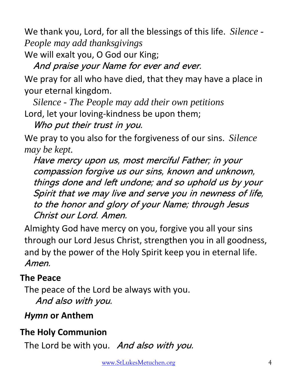We thank you, Lord, for all the blessings of this life. *Silence - People may add thanksgivings*

We will exalt you, O God our King;

And praise your Name for ever and ever.

We pray for all who have died, that they may have a place in your eternal kingdom.

*Silence - The People may add their own petitions* Lord, let your loving-kindness be upon them;

Who put their trust in you.

We pray to you also for the forgiveness of our sins. *Silence may be kept.*

Have mercy upon us, most merciful Father; in your compassion forgive us our sins, known and unknown, things done and left undone; and so uphold us by your Spirit that we may live and serve you in newness of life, to the honor and glory of your Name; through Jesus Christ our Lord. Amen.

Almighty God have mercy on you, forgive you all your sins through our Lord Jesus Christ, strengthen you in all goodness, and by the power of the Holy Spirit keep you in eternal life. Amen.

#### **The Peace**

The peace of the Lord be always with you. And also with you.

#### *Hymn* **or Anthem**

### **The Holy Communion**

The Lord be with you. And also with you.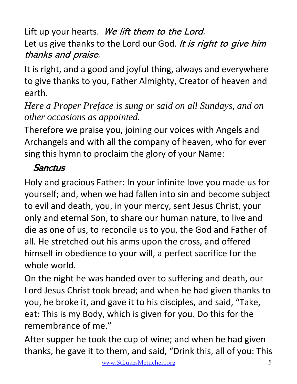Lift up your hearts. We lift them to the Lord. Let us give thanks to the Lord our God. It is right to give him thanks and praise.

It is right, and a good and joyful thing, always and everywhere to give thanks to you, Father Almighty, Creator of heaven and earth.

*Here a Proper Preface is sung or said on all Sundays, and on other occasions as appointed.*

Therefore we praise you, joining our voices with Angels and Archangels and with all the company of heaven, who for ever sing this hymn to proclaim the glory of your Name:

## **Sanctus**

Holy and gracious Father: In your infinite love you made us for yourself; and, when we had fallen into sin and become subject to evil and death, you, in your mercy, sent Jesus Christ, your only and eternal Son, to share our human nature, to live and die as one of us, to reconcile us to you, the God and Father of all. He stretched out his arms upon the cross, and offered himself in obedience to your will, a perfect sacrifice for the whole world.

On the night he was handed over to suffering and death, our Lord Jesus Christ took bread; and when he had given thanks to you, he broke it, and gave it to his disciples, and said, "Take, eat: This is my Body, which is given for you. Do this for the remembrance of me."

After supper he took the cup of wine; and when he had given thanks, he gave it to them, and said, "Drink this, all of you: This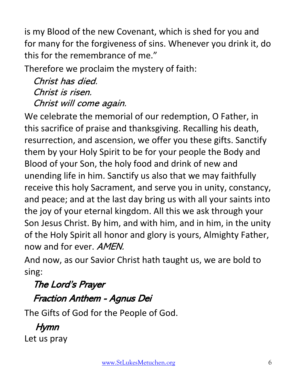is my Blood of the new Covenant, which is shed for you and for many for the forgiveness of sins. Whenever you drink it, do this for the remembrance of me."

Therefore we proclaim the mystery of faith:

Christ has died. Christ is risen. Christ will come again.

We celebrate the memorial of our redemption, O Father, in this sacrifice of praise and thanksgiving. Recalling his death, resurrection, and ascension, we offer you these gifts. Sanctify them by your Holy Spirit to be for your people the Body and Blood of your Son, the holy food and drink of new and unending life in him. Sanctify us also that we may faithfully receive this holy Sacrament, and serve you in unity, constancy, and peace; and at the last day bring us with all your saints into the joy of your eternal kingdom. All this we ask through your Son Jesus Christ. By him, and with him, and in him, in the unity of the Holy Spirit all honor and glory is yours, Almighty Father, now and for ever. AMEN.

And now, as our Savior Christ hath taught us, we are bold to sing:

# The Lord's Prayer Fraction Anthem - Agnus Dei

The Gifts of God for the People of God.

# Hymn

Let us pray